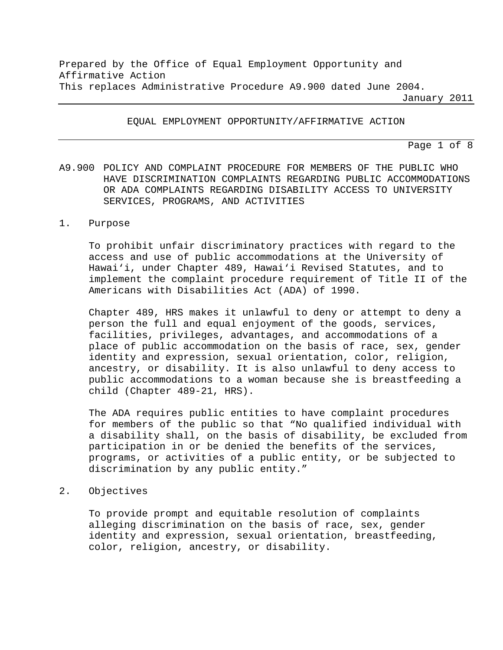Prepared by the Office of Equal Employment Opportunity and Affirmative Action This replaces Administrative Procedure A9.900 dated June 2004.

January 2011

EQUAL EMPLOYMENT OPPORTUNITY/AFFIRMATIVE ACTION

Page 1 of 8

A9.900 POLICY AND COMPLAINT PROCEDURE FOR MEMBERS OF THE PUBLIC WHO HAVE DISCRIMINATION COMPLAINTS REGARDING PUBLIC ACCOMMODATIONS OR ADA COMPLAINTS REGARDING DISABILITY ACCESS TO UNIVERSITY SERVICES, PROGRAMS, AND ACTIVITIES

#### 1. Purpose

To prohibit unfair discriminatory practices with regard to the access and use of public accommodations at the University of Hawai'i, under Chapter 489, Hawai'i Revised Statutes, and to implement the complaint procedure requirement of Title II of the Americans with Disabilities Act (ADA) of 1990.

Chapter 489, HRS makes it unlawful to deny or attempt to deny a person the full and equal enjoyment of the goods, services, facilities, privileges, advantages, and accommodations of a place of public accommodation on the basis of race, sex, gender identity and expression, sexual orientation, color, religion, ancestry, or disability. It is also unlawful to deny access to public accommodations to a woman because she is breastfeeding a child (Chapter 489-21, HRS).

The ADA requires public entities to have complaint procedures for members of the public so that "No qualified individual with a disability shall, on the basis of disability, be excluded from participation in or be denied the benefits of the services, programs, or activities of a public entity, or be subjected to discrimination by any public entity."

2. Objectives

To provide prompt and equitable resolution of complaints alleging discrimination on the basis of race, sex, gender identity and expression, sexual orientation, breastfeeding, color, religion, ancestry, or disability.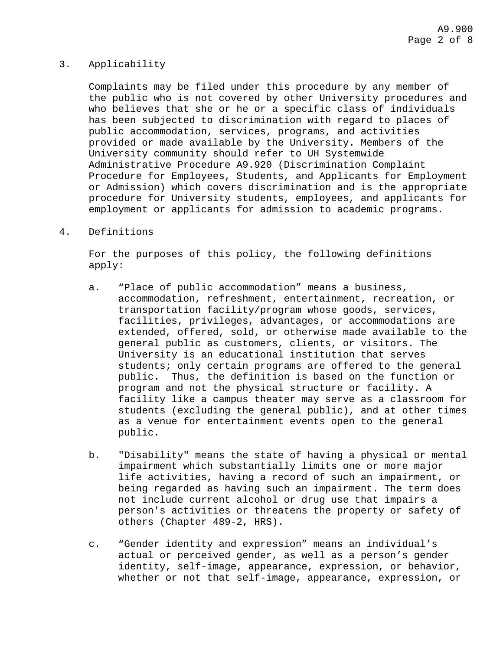## 3. Applicability

Complaints may be filed under this procedure by any member of the public who is not covered by other University procedures and who believes that she or he or a specific class of individuals has been subjected to discrimination with regard to places of public accommodation, services, programs, and activities provided or made available by the University. Members of the University community should refer to UH Systemwide Administrative Procedure A9.920 (Discrimination Complaint Procedure for Employees, Students, and Applicants for Employment or Admission) which covers discrimination and is the appropriate procedure for University students, employees, and applicants for employment or applicants for admission to academic programs.

#### 4. Definitions

For the purposes of this policy, the following definitions apply:

- a. "Place of public accommodation" means a business, accommodation, refreshment, entertainment, recreation, or transportation facility/program whose goods, services, facilities, privileges, advantages, or accommodations are extended, offered, sold, or otherwise made available to the general public as customers, clients, or visitors. The University is an educational institution that serves students; only certain programs are offered to the general public. Thus, the definition is based on the function or program and not the physical structure or facility. A facility like a campus theater may serve as a classroom for students (excluding the general public), and at other times as a venue for entertainment events open to the general public.
- b. "Disability" means the state of having a physical or mental impairment which substantially limits one or more major life activities, having a record of such an impairment, or being regarded as having such an impairment. The term does not include current alcohol or drug use that impairs a person's activities or threatens the property or safety of others (Chapter 489-2, HRS).
- c. "Gender identity and expression" means an individual's actual or perceived gender, as well as a person's gender identity, self-image, appearance, expression, or behavior, whether or not that self-image, appearance, expression, or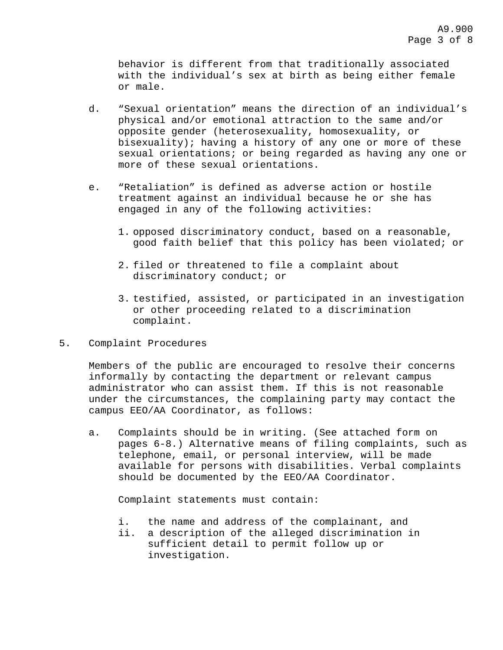behavior is different from that traditionally associated with the individual's sex at birth as being either female or male.

- d. "Sexual orientation" means the direction of an individual's physical and/or emotional attraction to the same and/or opposite gender (heterosexuality, homosexuality, or bisexuality); having a history of any one or more of these sexual orientations; or being regarded as having any one or more of these sexual orientations.
- e. "Retaliation" is defined as adverse action or hostile treatment against an individual because he or she has engaged in any of the following activities:
	- 1. opposed discriminatory conduct, based on a reasonable, good faith belief that this policy has been violated; or
	- 2. filed or threatened to file a complaint about discriminatory conduct; or
	- 3. testified, assisted, or participated in an investigation or other proceeding related to a discrimination complaint.
- 5. Complaint Procedures

Members of the public are encouraged to resolve their concerns informally by contacting the department or relevant campus administrator who can assist them. If this is not reasonable under the circumstances, the complaining party may contact the campus EEO/AA Coordinator, as follows:

a. Complaints should be in writing. (See attached form on pages 6-8.) Alternative means of filing complaints, such as telephone, email, or personal interview, will be made available for persons with disabilities. Verbal complaints should be documented by the EEO/AA Coordinator.

Complaint statements must contain:

- i. the name and address of the complainant, and<br>ii. a description of the alleged discrimination :
- a description of the alleged discrimination in sufficient detail to permit follow up or investigation.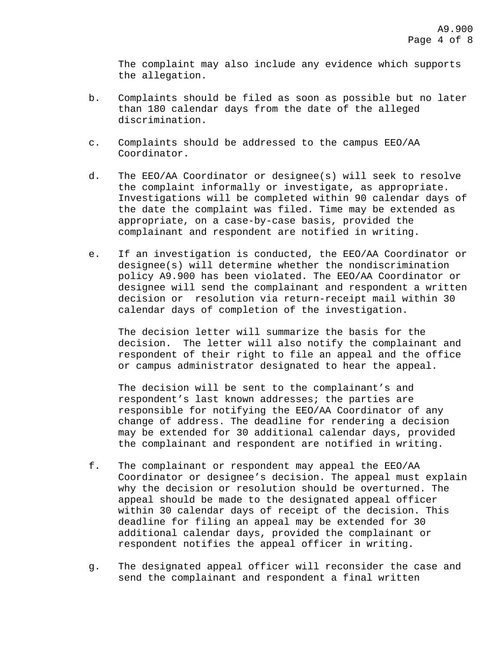The complaint may also include any evidence which supports the allegation.

- b. Complaints should be filed as soon as possible but no later than 180 calendar days from the date of the alleged discrimination.
- c. Complaints should be addressed to the campus EEO/AA Coordinator.
- d. The EEO/AA Coordinator or designee(s) will seek to resolve the complaint informally or investigate, as appropriate. Investigations will be completed within 90 calendar days of the date the complaint was filed. Time may be extended as appropriate, on a case-by-case basis, provided the complainant and respondent are notified in writing.
- e. If an investigation is conducted, the EEO/AA Coordinator or designee(s) will determine whether the nondiscrimination policy A9.900 has been violated. The EEO/AA Coordinator or designee will send the complainant and respondent a written decision or resolution via return-receipt mail within 30 calendar days of completion of the investigation.

The decision letter will summarize the basis for the decision. The letter will also notify the complainant and respondent of their right to file an appeal and the office or campus administrator designated to hear the appeal.

The decision will be sent to the complainant's and respondent's last known addresses; the parties are responsible for notifying the EEO/AA Coordinator of any change of address. The deadline for rendering a decision may be extended for 30 additional calendar days, provided the complainant and respondent are notified in writing.

- f. The complainant or respondent may appeal the EEO/AA Coordinator or designee's decision. The appeal must explain why the decision or resolution should be overturned. The appeal should be made to the designated appeal officer within 30 calendar days of receipt of the decision. This deadline for filing an appeal may be extended for 30 additional calendar days, provided the complainant or respondent notifies the appeal officer in writing.
- g. The designated appeal officer will reconsider the case and send the complainant and respondent a final written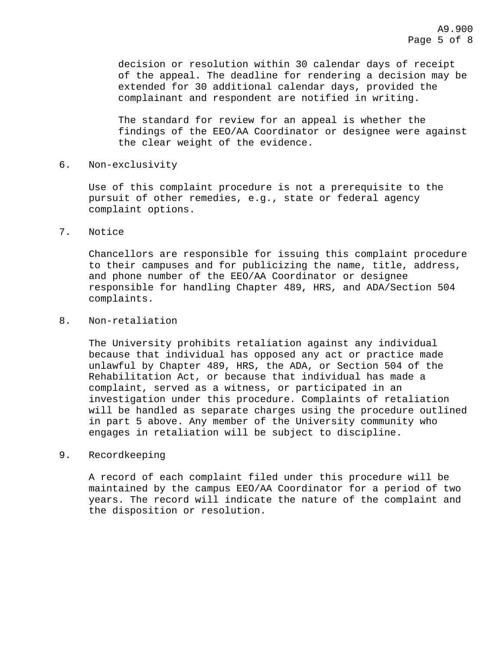decision or resolution within 30 calendar days of receipt of the appeal. The deadline for rendering a decision may be extended for 30 additional calendar days, provided the complainant and respondent are notified in writing.

The standard for review for an appeal is whether the findings of the EEO/AA Coordinator or designee were against the clear weight of the evidence.

6. Non-exclusivity

Use of this complaint procedure is not a prerequisite to the pursuit of other remedies, e.g., state or federal agency complaint options.

7. Notice

Chancellors are responsible for issuing this complaint procedure to their campuses and for publicizing the name, title, address, and phone number of the EEO/AA Coordinator or designee responsible for handling Chapter 489, HRS, and ADA/Section 504 complaints.

## 8. Non-retaliation

The University prohibits retaliation against any individual because that individual has opposed any act or practice made unlawful by Chapter 489, HRS, the ADA, or Section 504 of the Rehabilitation Act, or because that individual has made a complaint, served as a witness, or participated in an investigation under this procedure. Complaints of retaliation will be handled as separate charges using the procedure outlined in part 5 above. Any member of the University community who engages in retaliation will be subject to discipline.

9. Recordkeeping

A record of each complaint filed under this procedure will be maintained by the campus EEO/AA Coordinator for a period of two years. The record will indicate the nature of the complaint and the disposition or resolution.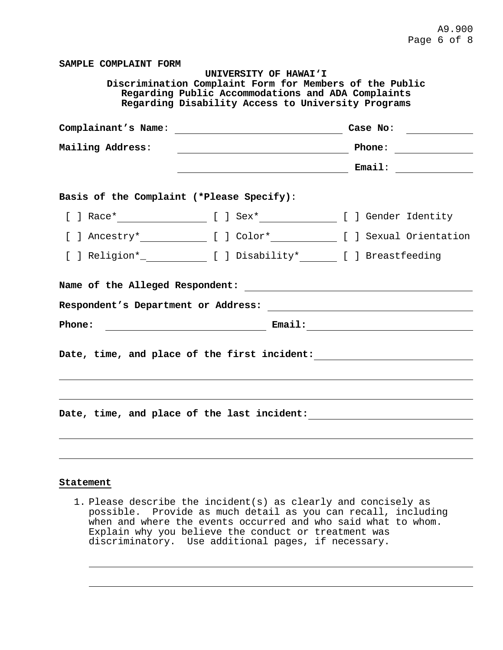| SAMPLE COMPLAINT FORM                     | UNIVERSITY OF HAWAI'I<br>Discrimination Complaint Form for Members of the Public<br>Regarding Public Accommodations and ADA Complaints<br>Regarding Disability Access to University Programs |                                                                                                                                                                                                                                    |
|-------------------------------------------|----------------------------------------------------------------------------------------------------------------------------------------------------------------------------------------------|------------------------------------------------------------------------------------------------------------------------------------------------------------------------------------------------------------------------------------|
| Complainant's Name:                       | <u> 1989 - Johann Barn, fransk politik (d. 1989)</u>                                                                                                                                         | Case No:                                                                                                                                                                                                                           |
| Mailing Address:                          |                                                                                                                                                                                              |                                                                                                                                                                                                                                    |
|                                           |                                                                                                                                                                                              | <b>Email:</b> Email: 1999. [1999] Email: 2009. [1999] Email: 2009. [1999] Email: 2009. [1999] Email: 2009. [1999] Email: 2009. [1999] Email: 2009. [1999] Email: 2009. [1999] Email: 2009. [1999] Email: 2009. [1999] Email: 2009. |
| Basis of the Complaint (*Please Specify): |                                                                                                                                                                                              |                                                                                                                                                                                                                                    |
|                                           |                                                                                                                                                                                              |                                                                                                                                                                                                                                    |
|                                           |                                                                                                                                                                                              |                                                                                                                                                                                                                                    |
|                                           | [ ] Religion*_______________ [ ] Disability*__________ [ ] Breastfeeding                                                                                                                     |                                                                                                                                                                                                                                    |
|                                           |                                                                                                                                                                                              |                                                                                                                                                                                                                                    |
| Phone:                                    |                                                                                                                                                                                              | $\texttt{Email:}$                                                                                                                                                                                                                  |
|                                           |                                                                                                                                                                                              | Date, time, and place of the first incident:                                                                                                                                                                                       |
|                                           |                                                                                                                                                                                              |                                                                                                                                                                                                                                    |
|                                           |                                                                                                                                                                                              |                                                                                                                                                                                                                                    |

# **Statement**

1. Please describe the incident(s) as clearly and concisely as possible. Provide as much detail as you can recall, including when and where the events occurred and who said what to whom. Explain why you believe the conduct or treatment was discriminatory. Use additional pages, if necessary.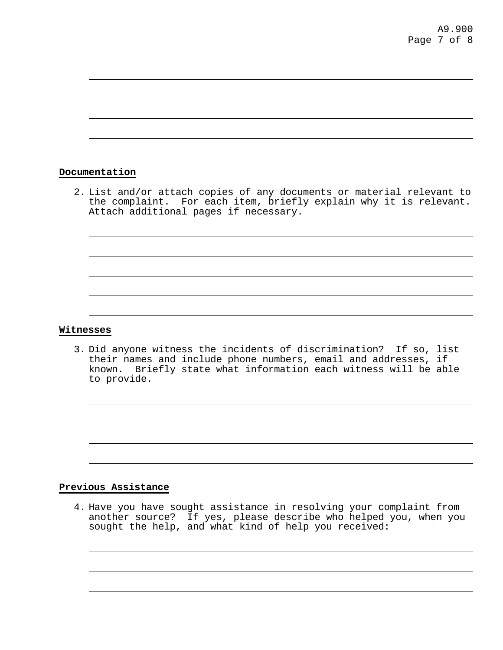# **Documentation**

2. List and/or attach copies of any documents or material relevant to the complaint. For each item, briefly explain why it is relevant. Attach additional pages if necessary.

#### **Witnesses**

3. Did anyone witness the incidents of discrimination? If so, list their names and include phone numbers, email and addresses, if known. Briefly state what information each witness will be able to provide.

## **Previous Assistance**

4. Have you have sought assistance in resolving your complaint from another source? If yes, please describe who helped you, when you sought the help, and what kind of help you received: